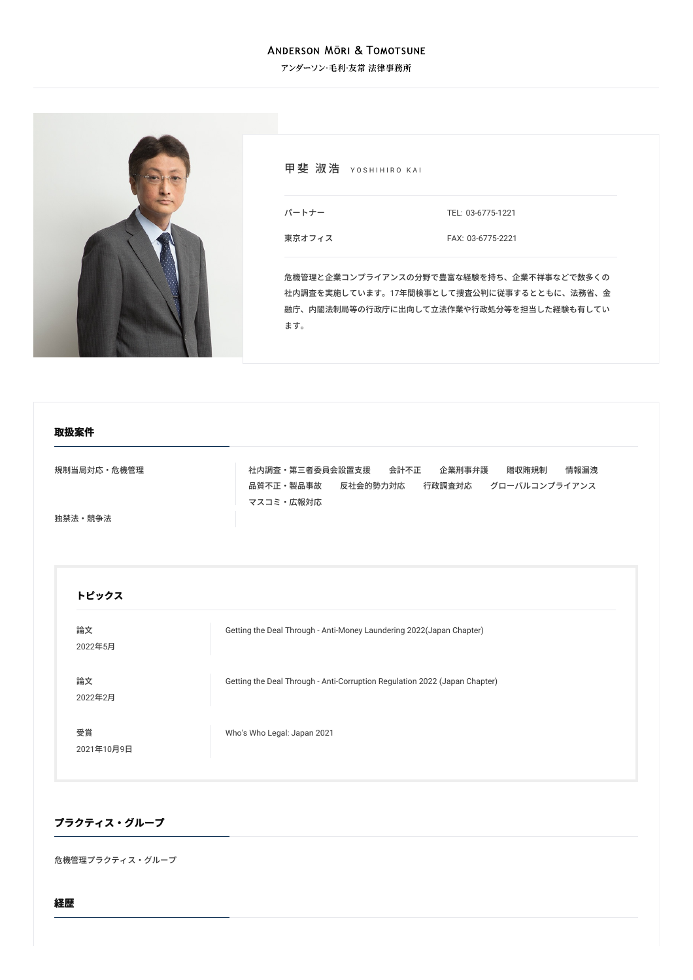### **ANDERSON MÖRI & TOMOTSUNE**

アンダーソン・毛利・友常 法律事務所



甲斐 淑浩 YOSHIHIRO KAI

TEL: [03-6775-1221](tel:03-6775-1221)

[東京オフィス](/locations/tokyo)

パートナー

FAX: 03-6775-2221

危機管理と企業コンプライアンスの分野で豊富な経験を持ち、企業不祥事などで数多くの 社内調査を実施しています。17年間検事として捜査公判に従事するとともに、法務省、金 融庁、内閣法制局等の行政庁に出向して立法作業や行政処分等を担当した経験も有してい ます。

#### **取扱案件**

[規制当局対応・危機管理](/services/practices/government-investigation-crisis-management) 4 インスコン は内調査・第三者委員会設置支援 [会計不正](/services/practices/government-investigation-crisis-management/accounting-fraud) [企業刑事弁護](/services/practices/government-investigation-crisis-management/corporate-criminal-defense) [贈収賄規制](/services/practices/government-investigation-crisis-management/anti-bribery-regulations) [情報漏洩](/services/practices/government-investigation-crisis-management/information-leakage) [品質不正・製品事故](/services/practices/government-investigation-crisis-management/quality-control_product-liability-and-product-fraud) 反社会的勢力対応 行政調査対応 [グローバルコンプライアンス](/services/practices/government-investigation-crisis-management/global-compliance) [マスコミ・広報対応](/services/practices/government-investigation-crisis-management/media-control-and-public-relations)

[独禁法・競争法](/services/practices/competition_antitrust)

## **トピックス**

| 論文<br>2022年5月    | Getting the Deal Through - Anti-Money Laundering 2022(Japan Chapter)       |
|------------------|----------------------------------------------------------------------------|
| 論文<br>2022年2月    | Getting the Deal Through - Anti-Corruption Regulation 2022 (Japan Chapter) |
| 受賞<br>2021年10月9日 | Who's Who Legal: Japan 2021                                                |

### **プラクティス・グループ**

危機管理プラクティス・グループ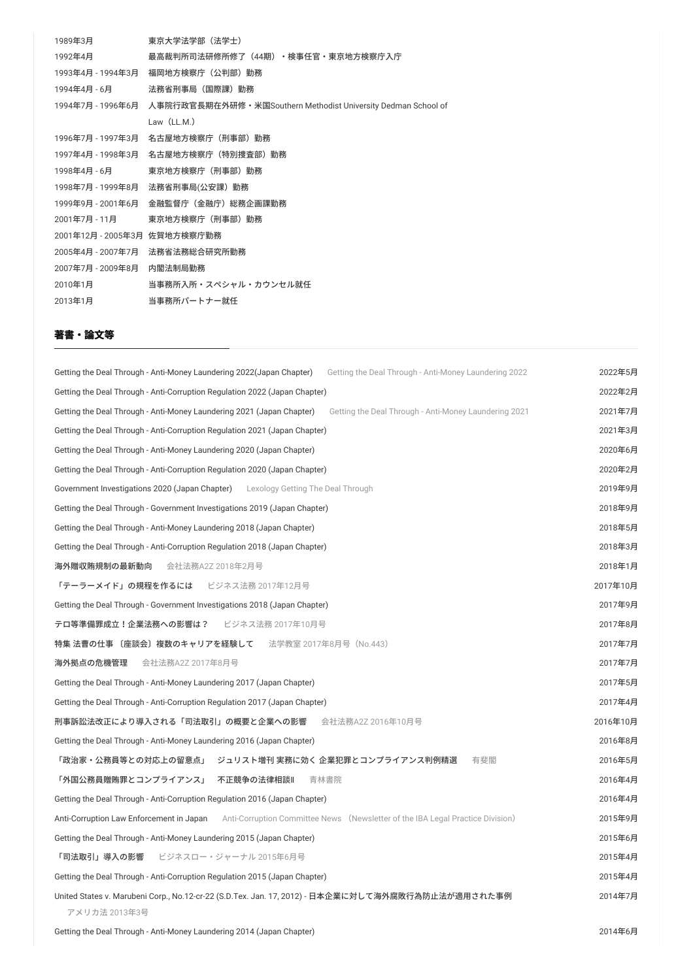| 1989年3月                      | 東京大学法学部(法学士)                                                    |
|------------------------------|-----------------------------------------------------------------|
| 1992年4月                      | 最高裁判所司法研修所修了(44期)・検事任官・東京地方検察庁入庁                                |
| 1993年4月 - 1994年3月            | 福岡地方検察庁(公判部)勤務                                                  |
| 1994年4月 - 6月                 | 法務省刑事局(国際課)勤務                                                   |
| 1994年7月 - 1996年6月            | 人事院行政官長期在外研修 • 米国Southern Methodist University Dedman School of |
|                              | Law $(LL.M.)$                                                   |
| 1996年7月 - 1997年3月            | 名古屋地方検察庁(刑事部)勤務                                                 |
| 1997年4月 - 1998年3月            | 名古屋地方検察庁(特別捜査部)勤務                                               |
| 1998年4月 - 6月                 | 東京地方検察庁(刑事部)勤務                                                  |
| 1998年7月 - 1999年8月            | 法務省刑事局(公安課)勤務                                                   |
| 1999年9月 - 2001年6月            | 金融監督庁(金融庁)総務企画課勤務                                               |
| 2001年7月 - 11月                | 東京地方検察庁(刑事部)勤務                                                  |
| 2001年12月 - 2005年3月 佐賀地方検察庁勤務 |                                                                 |
| 2005年4月 - 2007年7月            | 法務省法務総合研究所勤務                                                    |
| 2007年7月 - 2009年8月            | 内閣法制局勤務                                                         |
| 2010年1月                      | 当事務所入所・スペシャル・カウンセル就任                                            |
| 2013年1月                      | 当事務所パートナー就任                                                     |

#### **著書・論⽂等**

| Getting the Deal Through - Anti-Money Laundering 2022(Japan Chapter)<br>Getting the Deal Through - Anti-Money Laundering 2022  | 2022年5月  |
|--------------------------------------------------------------------------------------------------------------------------------|----------|
| Getting the Deal Through - Anti-Corruption Regulation 2022 (Japan Chapter)                                                     | 2022年2月  |
| Getting the Deal Through - Anti-Money Laundering 2021 (Japan Chapter)<br>Getting the Deal Through - Anti-Money Laundering 2021 | 2021年7月  |
| Getting the Deal Through - Anti-Corruption Regulation 2021 (Japan Chapter)                                                     | 2021年3月  |
| Getting the Deal Through - Anti-Money Laundering 2020 (Japan Chapter)                                                          | 2020年6月  |
| Getting the Deal Through - Anti-Corruption Regulation 2020 (Japan Chapter)                                                     | 2020年2月  |
| Government Investigations 2020 (Japan Chapter)<br>Lexology Getting The Deal Through                                            | 2019年9月  |
| Getting the Deal Through - Government Investigations 2019 (Japan Chapter)                                                      |          |
| Getting the Deal Through - Anti-Money Laundering 2018 (Japan Chapter)                                                          |          |
| Getting the Deal Through - Anti-Corruption Regulation 2018 (Japan Chapter)                                                     | 2018年3月  |
| 会社法務A2Z 2018年2月号<br>海外贈収賄規制の最新動向                                                                                               | 2018年1月  |
| 「テーラーメイド」の規程を作るには ビジネス法務 2017年12月号                                                                                             | 2017年10月 |
| Getting the Deal Through - Government Investigations 2018 (Japan Chapter)                                                      | 2017年9月  |
| <b>テロ等準備罪成立!企業法務への影響は?</b> ビジネス法務 2017年10月号                                                                                    | 2017年8月  |
| 特集 法曹の仕事 〔座談会〕複数のキャリアを経験して — 法学教室 2017年8月号(No.443)                                                                             | 2017年7月  |
| 海外拠点の危機管理<br>会社法務A2Z 2017年8月号                                                                                                  | 2017年7月  |
| Getting the Deal Through - Anti-Money Laundering 2017 (Japan Chapter)                                                          | 2017年5月  |
| Getting the Deal Through - Anti-Corruption Regulation 2017 (Japan Chapter)                                                     | 2017年4月  |
| 刑事訴訟法改正により導入される「司法取引」の概要と企業への影響<br>会社法務A2Z 2016年10月号                                                                           | 2016年10月 |
| Getting the Deal Through - Anti-Money Laundering 2016 (Japan Chapter)                                                          | 2016年8月  |
| 「政治家・公務員等との対応上の留意点」 ジュリスト増刊 実務に効く 企業犯罪とコンプライアンス判例精選<br>有斐閣                                                                     | 2016年5月  |
| 「外国公務員贈賄罪とコンプライアンス」<br>不正競争の法律相談∥<br>青林書院                                                                                      | 2016年4月  |
| Getting the Deal Through - Anti-Corruption Regulation 2016 (Japan Chapter)                                                     | 2016年4月  |
| Anti-Corruption Law Enforcement in Japan<br>Anti-Corruption Committee News (Newsletter of the IBA Legal Practice Division)     | 2015年9月  |
| Getting the Deal Through - Anti-Money Laundering 2015 (Japan Chapter)                                                          | 2015年6月  |
| 「司法取引」導入の影響 ビジネスロー・ジャーナル 2015年6月号                                                                                              | 2015年4月  |
| Getting the Deal Through - Anti-Corruption Regulation 2015 (Japan Chapter)                                                     |          |
| United States v. Marubeni Corp., No.12-cr-22 (S.D.Tex. Jan. 17, 2012) - 日本企業に対して海外腐敗行為防止法が適用された事例<br>アメリカ法 2013年3号             | 2014年7月  |

Getting the Deal Through - [Anti-Money](/publications/detail/publication_0003868_ja_001) Laundering 2014 (Japan Chapter) 2014年6月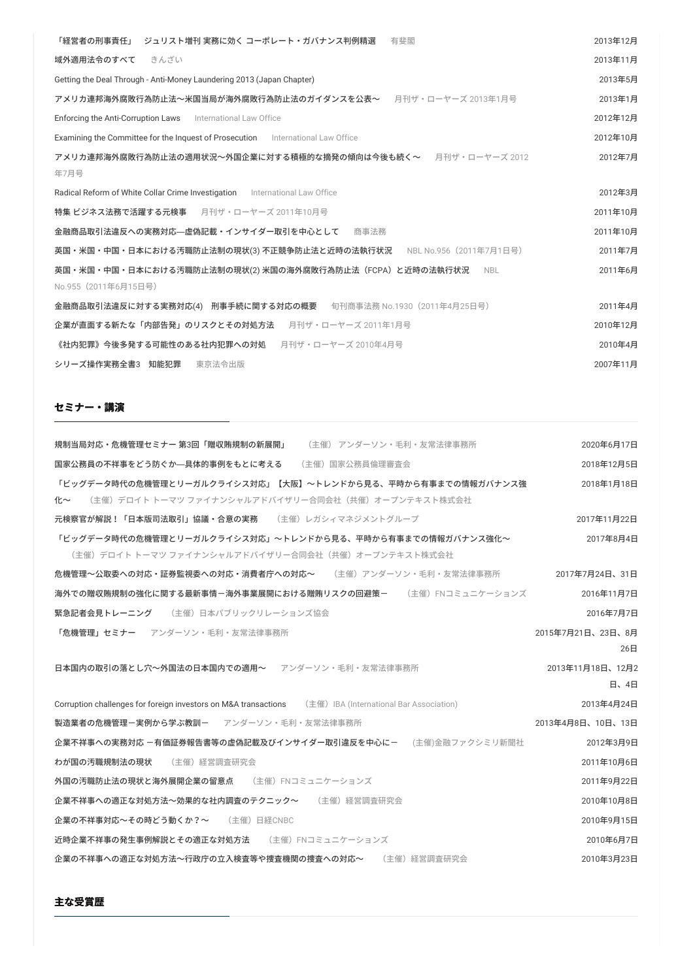| ジュリスト増刊 実務に効く コーポレート・ガバナンス判例精選<br>「経営者の刑事責任」<br>有斐閣                                           | 2013年12月 |
|-----------------------------------------------------------------------------------------------|----------|
| 域外適用法令のすべて<br>きんざい                                                                            | 2013年11月 |
| Getting the Deal Through - Anti-Money Laundering 2013 (Japan Chapter)                         | 2013年5月  |
| アメリカ連邦海外腐敗行為防止法~米国当局が海外腐敗行為防止法のガイダンスを公表~ 月刊ザ・ローヤーズ 2013年1月号                                   | 2013年1月  |
| Enforcing the Anti-Corruption Laws<br>International Law Office                                | 2012年12月 |
| <b>Examining the Committee for the Inquest of Prosecution</b> International Law Office        | 2012年10月 |
| アメリカ連邦海外腐敗行為防止法の適用状況~外国企業に対する積極的な摘発の傾向は今後も続く~ 月刊ザ・ローヤーズ 2012<br>年7月号                          | 2012年7月  |
| Radical Reform of White Collar Crime Investigation International Law Office                   | 2012年3月  |
| 特集ビジネス法務で活躍する元検事 月刊ザ・ローヤーズ 2011年10月号                                                          | 2011年10月 |
| 金融商品取引法違反への実務対応—虚偽記載・インサイダー取引を中心として<br>商事法務                                                   | 2011年10月 |
| 英国・米国・中国・日本における汚職防止法制の現状(3) 不正競争防止法と近時の法執行状況<br>NBL No.956(2011年7月1日号)                        | 2011年7月  |
| 英国・米国・中国・日本における汚職防止法制の現状(2) 米国の海外腐敗行為防止法(FCPA)と近時の法執行状況<br><b>NBL</b><br>No.955 (2011年6月15日号) | 2011年6月  |
| 金融商品取引法違反に対する実務対応(4) 刑事手続に関する対応の概要  旬刊商事法務 No.1930 (2011年4月25日号)                              | 2011年4月  |
| 企業が直面する新たな「内部告発」のリスクとその対処方法<br>月刊ザ・ローヤーズ 2011年1月号                                             | 2010年12月 |
| 《社内犯罪》今後多発する可能性のある社内犯罪への対処 月刊ザ・ローヤーズ 2010年4月号                                                 | 2010年4月  |
| 東京法令出版<br>シリーズ操作実務全書3 知能犯罪                                                                    | 2007年11月 |
|                                                                                               |          |

## **セミナー・講演**

| 規制当局対応・危機管理セミナー 第3回「贈収賄規制の新展開」<br>(主催) アンダーソン・毛利・友常法律事務所                                                              | 2020年6月17日               |
|-----------------------------------------------------------------------------------------------------------------------|--------------------------|
| 国家公務員の不祥事をどう防ぐか―具体的事例をもとに考える<br>(主催) 国家公務員倫理審査会                                                                       | 2018年12月5日               |
| 「ビッグデータ時代の危機管理とリーガルクライシス対応」【大阪】~トレンドから見る、平時から有事までの情報ガバナンス強<br>化~<br>(主催)デロイト トーマツ ファイナンシャルアドバイザリー合同会社(共催)オープンテキスト株式会社 | 2018年1月18日               |
| 元検察官が解説!「日本版司法取引」協議・合意の実務 (主催)レガシィマネジメントグループ                                                                          | 2017年11月22日              |
| 「ビッグデータ時代の危機管理とリーガルクライシス対応」~トレンドから見る、平時から有事までの情報ガバナンス強化~<br>(主催)デロイト トーマツ ファイナンシャルアドバイザリー合同会社(共催)オープンテキスト株式会社         | 2017年8月4日                |
| <b>危機管理~公取委への対応・証券監視委への対応・消費者庁への対応~</b> (主催)アンダーソン・毛利・友常法律事務所                                                         | 2017年7月24日、31日           |
| 海外での贈収賄規制の強化に関する最新事情-海外事業展開における贈賄リスクの回避策- (主催)FNコミュニケーションズ                                                            | 2016年11月7日               |
| 緊急記者会見トレーニング (主催)日本パブリックリレーションズ協会                                                                                     | 2016年7月7日                |
| 「危機管理」セミナー アンダーソン・毛利・友常法律事務所                                                                                          | 2015年7月21日、23日、8月<br>26日 |
| 日本国内の取引の落とし穴~外国法の日本国内での適用~ アンダーソン・毛利・友常法律事務所                                                                          | 2013年11月18日、12月2<br>日、4日 |
| Corruption challenges for foreign investors on M&A transactions (主催) IBA (International Bar Association)              | 2013年4月24日               |
| 製造業者の危機管理ー実例から学ぶ教訓ー<br>アンダーソン・毛利·友常活法律事務所                                                                             | 2013年4月8日、10日、13日        |
| 企業不祥事への実務対応 -有価証券報告書等の虚偽記載及びインサイダー取引違反を中心に- (主催)金融ファクシミリ新聞社                                                           | 2012年3月9日                |
| わが国の汚職規制法の現状<br>(主催)経営調査研究会                                                                                           | 2011年10月6日               |
| 外国の汚職防止法の現状と海外展開企業の留意点<br>(主催)FNコミュニケーションズ                                                                            | 2011年9月22日               |
| 企業不祥事への適正な対処方法~効果的な社内調査のテクニック~ (主催)経営調査研究会                                                                            | 2010年10月8日               |
| 企業の不祥事対応~その時どう動くか?~ (主催)日経CNBC                                                                                        | 2010年9月15日               |
| 近時企業不祥事の発生事例解説とその適正な対処方法<br>(主催) FNコミュニケーションズ                                                                         | 2010年6月7日                |
| 企業の不祥事への適正な対処方法~行政庁の立入検査等や捜査機関の捜査への対応~<br>(主催)経営調査研究会                                                                 | 2010年3月23日               |

## **主な受賞歴**